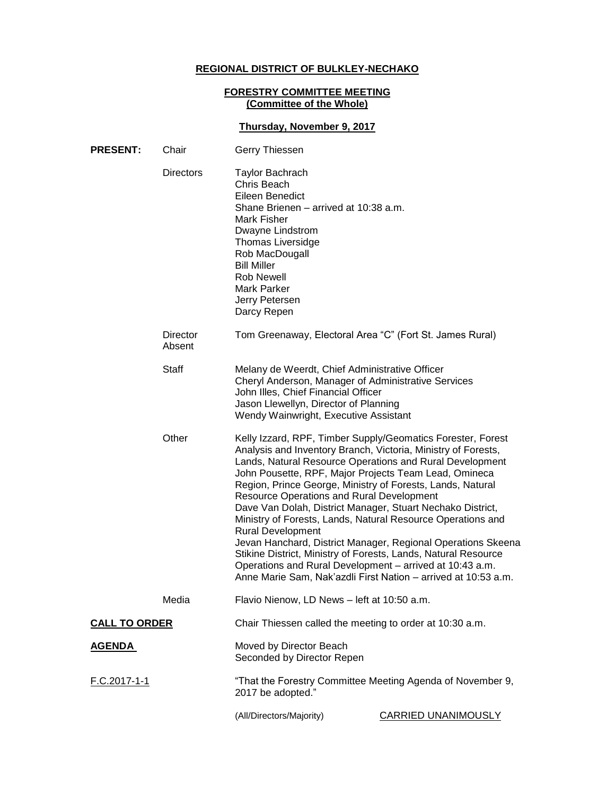# **REGIONAL DISTRICT OF BULKLEY-NECHAKO**

#### **FORESTRY COMMITTEE MEETING (Committee of the Whole)**

# **Thursday, November 9, 2017**

| <b>PRESENT:</b>      | Chair<br>Gerry Thiessen |                                                                                                                                                                                                                                                                        |                                                                                                                                                                                                                                                                                                                                                                                                                                                                                                                                                                                                                                                                                                              |  |
|----------------------|-------------------------|------------------------------------------------------------------------------------------------------------------------------------------------------------------------------------------------------------------------------------------------------------------------|--------------------------------------------------------------------------------------------------------------------------------------------------------------------------------------------------------------------------------------------------------------------------------------------------------------------------------------------------------------------------------------------------------------------------------------------------------------------------------------------------------------------------------------------------------------------------------------------------------------------------------------------------------------------------------------------------------------|--|
|                      | <b>Directors</b>        | <b>Taylor Bachrach</b><br>Chris Beach<br>Eileen Benedict<br>Shane Brienen – arrived at 10:38 a.m.<br>Mark Fisher<br>Dwayne Lindstrom<br>Thomas Liversidge<br>Rob MacDougall<br><b>Bill Miller</b><br><b>Rob Newell</b><br>Mark Parker<br>Jerry Petersen<br>Darcy Repen |                                                                                                                                                                                                                                                                                                                                                                                                                                                                                                                                                                                                                                                                                                              |  |
|                      | Director<br>Absent      | Tom Greenaway, Electoral Area "C" (Fort St. James Rural)                                                                                                                                                                                                               |                                                                                                                                                                                                                                                                                                                                                                                                                                                                                                                                                                                                                                                                                                              |  |
|                      | <b>Staff</b>            | Melany de Weerdt, Chief Administrative Officer<br>Cheryl Anderson, Manager of Administrative Services<br>John Illes, Chief Financial Officer<br>Jason Llewellyn, Director of Planning<br>Wendy Wainwright, Executive Assistant                                         |                                                                                                                                                                                                                                                                                                                                                                                                                                                                                                                                                                                                                                                                                                              |  |
| Other                |                         | <b>Resource Operations and Rural Development</b><br><b>Rural Development</b>                                                                                                                                                                                           | Kelly Izzard, RPF, Timber Supply/Geomatics Forester, Forest<br>Analysis and Inventory Branch, Victoria, Ministry of Forests,<br>Lands, Natural Resource Operations and Rural Development<br>John Pousette, RPF, Major Projects Team Lead, Omineca<br>Region, Prince George, Ministry of Forests, Lands, Natural<br>Dave Van Dolah, District Manager, Stuart Nechako District,<br>Ministry of Forests, Lands, Natural Resource Operations and<br>Jevan Hanchard, District Manager, Regional Operations Skeena<br>Stikine District, Ministry of Forests, Lands, Natural Resource<br>Operations and Rural Development - arrived at 10:43 a.m.<br>Anne Marie Sam, Nak'azdli First Nation - arrived at 10:53 a.m. |  |
|                      | Media                   | Flavio Nienow, LD News - left at 10:50 a.m.                                                                                                                                                                                                                            |                                                                                                                                                                                                                                                                                                                                                                                                                                                                                                                                                                                                                                                                                                              |  |
| <b>CALL TO ORDER</b> |                         | Chair Thiessen called the meeting to order at 10:30 a.m.                                                                                                                                                                                                               |                                                                                                                                                                                                                                                                                                                                                                                                                                                                                                                                                                                                                                                                                                              |  |
| <u>AGENDA</u>        |                         | Moved by Director Beach<br>Seconded by Director Repen                                                                                                                                                                                                                  |                                                                                                                                                                                                                                                                                                                                                                                                                                                                                                                                                                                                                                                                                                              |  |
| <u>F.C.2017-1-1</u>  |                         | "That the Forestry Committee Meeting Agenda of November 9,<br>2017 be adopted."                                                                                                                                                                                        |                                                                                                                                                                                                                                                                                                                                                                                                                                                                                                                                                                                                                                                                                                              |  |
|                      |                         | (All/Directors/Majority)                                                                                                                                                                                                                                               | <b>CARRIED UNANIMOUSLY</b>                                                                                                                                                                                                                                                                                                                                                                                                                                                                                                                                                                                                                                                                                   |  |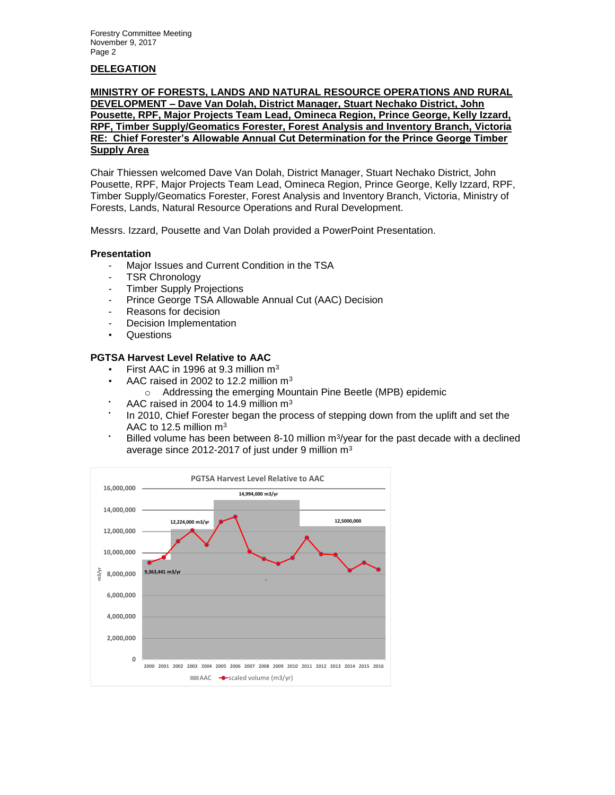# **DELEGATION**

#### **MINISTRY OF FORESTS, LANDS AND NATURAL RESOURCE OPERATIONS AND RURAL DEVELOPMENT – Dave Van Dolah, District Manager, Stuart Nechako District, John Pousette, RPF, Major Projects Team Lead, Omineca Region, Prince George, Kelly Izzard, RPF, Timber Supply/Geomatics Forester, Forest Analysis and Inventory Branch, Victoria RE: Chief Forester's Allowable Annual Cut Determination for the Prince George Timber Supply Area**

Chair Thiessen welcomed Dave Van Dolah, District Manager, Stuart Nechako District, John Pousette, RPF, Major Projects Team Lead, Omineca Region, Prince George, Kelly Izzard, RPF, Timber Supply/Geomatics Forester, Forest Analysis and Inventory Branch, Victoria, Ministry of Forests, Lands, Natural Resource Operations and Rural Development.

Messrs. Izzard, Pousette and Van Dolah provided a PowerPoint Presentation.

#### **Presentation**

- Major Issues and Current Condition in the TSA
- TSR Chronology
- **Timber Supply Projections**
- Prince George TSA Allowable Annual Cut (AAC) Decision
- Reasons for decision
- Decision Implementation
- Questions

#### **PGTSA Harvest Level Relative to AAC**

- First AAC in 1996 at 9.3 million  $m<sup>3</sup>$
- AAC raised in 2002 to 12.2 million m<sup>3</sup>
	- o Addressing the emerging Mountain Pine Beetle (MPB) epidemic
- AAC raised in 2004 to 14.9 million m<sup>3</sup>
- In 2010, Chief Forester began the process of stepping down from the uplift and set the AAC to 12.5 million m<sup>3</sup>
- $\cdot$  Billed volume has been between 8-10 million m<sup>3</sup>/year for the past decade with a declined average since 2012-2017 of just under 9 million m<sup>3</sup>

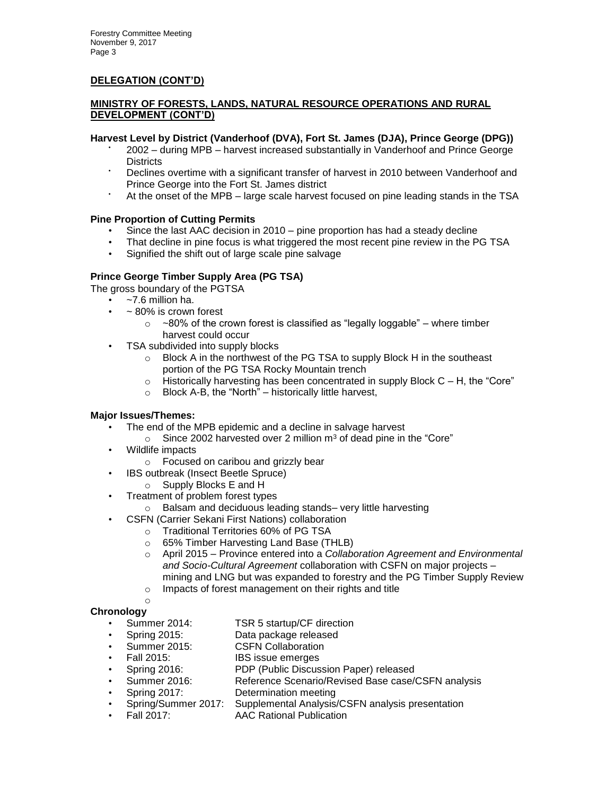# **MINISTRY OF FORESTS, LANDS, NATURAL RESOURCE OPERATIONS AND RURAL DEVELOPMENT (CONT'D)**

### **Harvest Level by District (Vanderhoof (DVA), Fort St. James (DJA), Prince George (DPG))**

- 2002 during MPB harvest increased substantially in Vanderhoof and Prince George **Districts**
- Declines overtime with a significant transfer of harvest in 2010 between Vanderhoof and Prince George into the Fort St. James district
- At the onset of the MPB large scale harvest focused on pine leading stands in the TSA

# **Pine Proportion of Cutting Permits**

- Since the last AAC decision in 2010 pine proportion has had a steady decline
- That decline in pine focus is what triggered the most recent pine review in the PG TSA
- Signified the shift out of large scale pine salvage

# **Prince George Timber Supply Area (PG TSA)**

The gross boundary of the PGTSA

- $-7.6$  million ha.
	- $\sim$  80% is crown forest
		- $\circ$  ~80% of the crown forest is classified as "legally loggable" where timber harvest could occur
- TSA subdivided into supply blocks
	- o Block A in the northwest of the PG TSA to supply Block H in the southeast portion of the PG TSA Rocky Mountain trench
	- $\circ$  Historically harvesting has been concentrated in supply Block C H, the "Core"
	- $\circ$  Block A-B, the "North" historically little harvest,

#### **Major Issues/Themes:**

- The end of the MPB epidemic and a decline in salvage harvest
	- $\circ$  Since 2002 harvested over 2 million m<sup>3</sup> of dead pine in the "Core"
- Wildlife impacts
- o Focused on caribou and grizzly bear
- IBS outbreak (Insect Beetle Spruce)
	- o Supply Blocks E and H
- Treatment of problem forest types
	- o Balsam and deciduous leading stands– very little harvesting
	- CSFN (Carrier Sekani First Nations) collaboration
		- o Traditional Territories 60% of PG TSA
		- o 65% Timber Harvesting Land Base (THLB)
		- o April 2015 Province entered into a *Collaboration Agreement and Environmental and Socio-Cultural Agreement* collaboration with CSFN on major projects – mining and LNG but was expanded to forestry and the PG Timber Supply Review
		- o Impacts of forest management on their rights and title

#### o **Chronology**

- Summer 2014: TSR 5 startup/CF direction
- Spring 2015: Data package released
- Summer 2015: CSFN Collaboration
- Fall 2015: **IBS** issue emerges
- Spring 2016: PDP (Public Discussion Paper) released
- Summer 2016: Reference Scenario/Revised Base case/CSFN analysis
- Spring 2017: Determination meeting
- Spring/Summer 2017: Supplemental Analysis/CSFN analysis presentation
- Fall 2017: AAC Rational Publication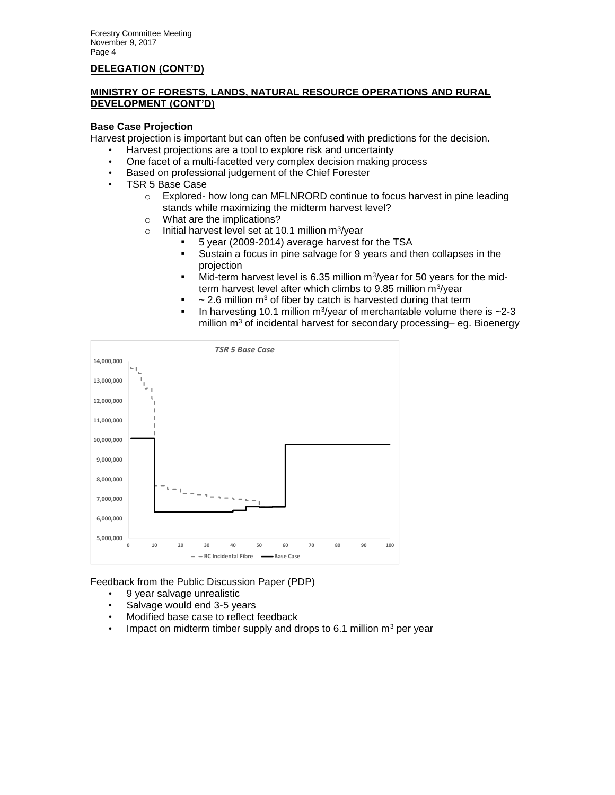# **MINISTRY OF FORESTS, LANDS, NATURAL RESOURCE OPERATIONS AND RURAL DEVELOPMENT (CONT'D)**

#### **Base Case Projection**

Harvest projection is important but can often be confused with predictions for the decision.

- Harvest projections are a tool to explore risk and uncertainty
- One facet of a multi-facetted very complex decision making process
- Based on professional judgement of the Chief Forester
- TSR 5 Base Case
	- $\circ$  Explored- how long can MFLNRORD continue to focus harvest in pine leading stands while maximizing the midterm harvest level?
	- o What are the implications?
	- o lnitial harvest level set at 10.1 million m<sup>3</sup>/year
		- 5 year (2009-2014) average harvest for the TSA
			- Sustain a focus in pine salvage for 9 years and then collapses in the projection
			- $\blacksquare$  Mid-term harvest level is 6.35 million m<sup>3</sup>/year for 50 years for the midterm harvest level after which climbs to 9.85 million m<sup>3</sup>/year
		- $\sim$  2.6 million m<sup>3</sup> of fiber by catch is harvested during that term
		- In harvesting 10.1 million m<sup>3</sup>/year of merchantable volume there is  $\sim$ 2-3 million  $m<sup>3</sup>$  of incidental harvest for secondary processing– eg. Bioenergy



Feedback from the Public Discussion Paper (PDP)

- 9 year salvage unrealistic
- Salvage would end 3-5 years
- Modified base case to reflect feedback
- Impact on midterm timber supply and drops to 6.1 million  $m<sup>3</sup>$  per year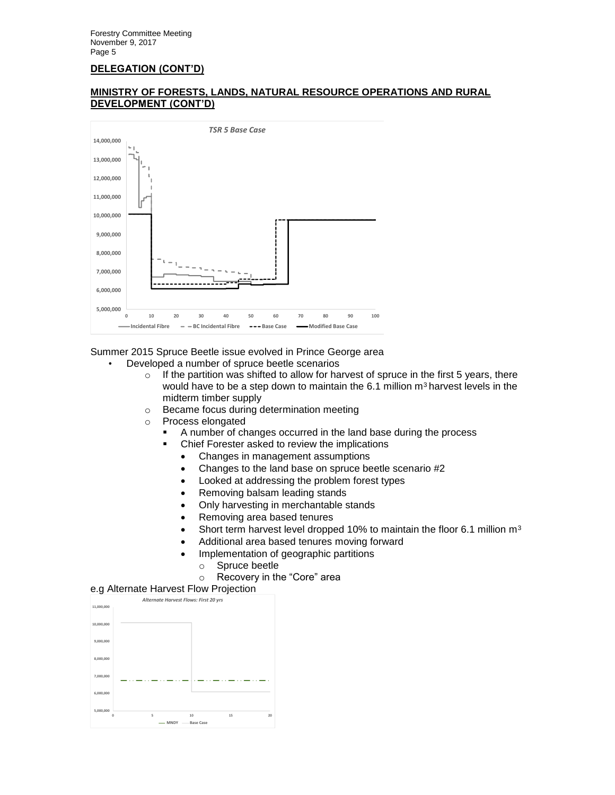



Summer 2015 Spruce Beetle issue evolved in Prince George area

- Developed a number of spruce beetle scenarios
	- $\circ$  If the partition was shifted to allow for harvest of spruce in the first 5 years, there would have to be a step down to maintain the 6.1 million m<sup>3</sup> harvest levels in the midterm timber supply
	- o Became focus during determination meeting
	- o Process elongated
		- A number of changes occurred in the land base during the process
		- Chief Forester asked to review the implications
			- Changes in management assumptions
			- Changes to the land base on spruce beetle scenario #2
			- Looked at addressing the problem forest types
			- Removing balsam leading stands
			- Only harvesting in merchantable stands
			- Removing area based tenures
			- Short term harvest level dropped 10% to maintain the floor 6.1 million  $m<sup>3</sup>$
			- Additional area based tenures moving forward
			- Implementation of geographic partitions
				- o Spruce beetle
				- o Recovery in the "Core" area

#### e.g Alternate Harvest Flow Projection

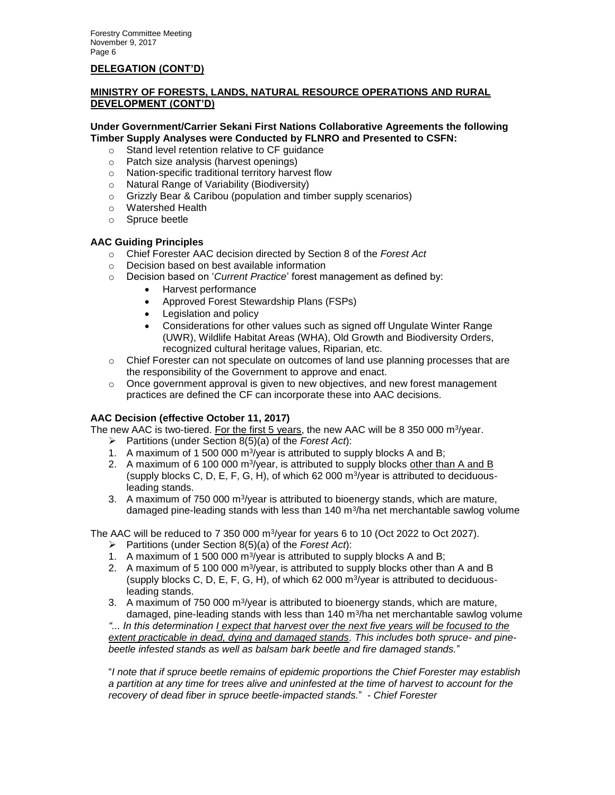# **MINISTRY OF FORESTS, LANDS, NATURAL RESOURCE OPERATIONS AND RURAL DEVELOPMENT (CONT'D)**

#### **Under Government/Carrier Sekani First Nations Collaborative Agreements the following Timber Supply Analyses were Conducted by FLNRO and Presented to CSFN:**

- o Stand level retention relative to CF guidance
- o Patch size analysis (harvest openings)
- o Nation-specific traditional territory harvest flow
- o Natural Range of Variability (Biodiversity)
- o Grizzly Bear & Caribou (population and timber supply scenarios)
- o Watershed Health
- o Spruce beetle

# **AAC Guiding Principles**

- o Chief Forester AAC decision directed by Section 8 of the *Forest Act*
- o Decision based on best available information
- o Decision based on '*Current Practice*' forest management as defined by:
	- Harvest performance
	- Approved Forest Stewardship Plans (FSPs)
	- Legislation and policy
	- Considerations for other values such as signed off Ungulate Winter Range (UWR), Wildlife Habitat Areas (WHA), Old Growth and Biodiversity Orders, recognized cultural heritage values, Riparian, etc.
- $\circ$  Chief Forester can not speculate on outcomes of land use planning processes that are the responsibility of the Government to approve and enact.
- $\circ$  Once government approval is given to new objectives, and new forest management practices are defined the CF can incorporate these into AAC decisions.

#### **AAC Decision (effective October 11, 2017)**

The new AAC is two-tiered. For the first 5 years, the new AAC will be 8 350 000 m<sup>3</sup>/year.

- Partitions (under Section 8(5)(a) of the *Forest Act*):
- 1. A maximum of 1 500 000 m<sup>3</sup>/year is attributed to supply blocks A and B;
- 2. A maximum of 6 100 000 m<sup>3</sup>/year, is attributed to supply blocks other than A and B (supply blocks C, D, E, F, G, H), of which 62 000  $\text{m}^3\text{/year}$  is attributed to deciduousleading stands.
- 3. A maximum of  $750\,000\,\mathrm{m}^3/\mathrm{year}$  is attributed to bioenergy stands, which are mature, damaged pine-leading stands with less than 140 m $3$ /ha net merchantable sawlog volume

The AAC will be reduced to 7 350 000  $\mathrm{m}^3/\mathrm{year}$  for years 6 to 10 (Oct 2022 to Oct 2027).

- Partitions (under Section 8(5)(a) of the *Forest Act*):
- 1. A maximum of 1 500 000 m<sup>3</sup>/year is attributed to supply blocks A and B;
- 2. A maximum of 5 100 000 m<sup>3</sup>/year, is attributed to supply blocks other than A and B (supply blocks C, D, E, F, G, H), of which 62 000  $\text{m}^3$ /year is attributed to deciduousleading stands.
- 3. A maximum of  $750\,000\,\mathrm{m}^3/\mathrm{year}$  is attributed to bioenergy stands, which are mature, damaged, pine-leading stands with less than  $140 \text{ m}^3$ /ha net merchantable sawlog volume

*"... In this determination I expect that harvest over the next five years will be focused to the extent practicable in dead, dying and damaged stands. This includes both spruce- and pinebeetle infested stands as well as balsam bark beetle and fire damaged stands.*"

"*I note that if spruce beetle remains of epidemic proportions the Chief Forester may establish a partition at any time for trees alive and uninfested at the time of harvest to account for the recovery of dead fiber in spruce beetle-impacted stands.*" - *Chief Forester*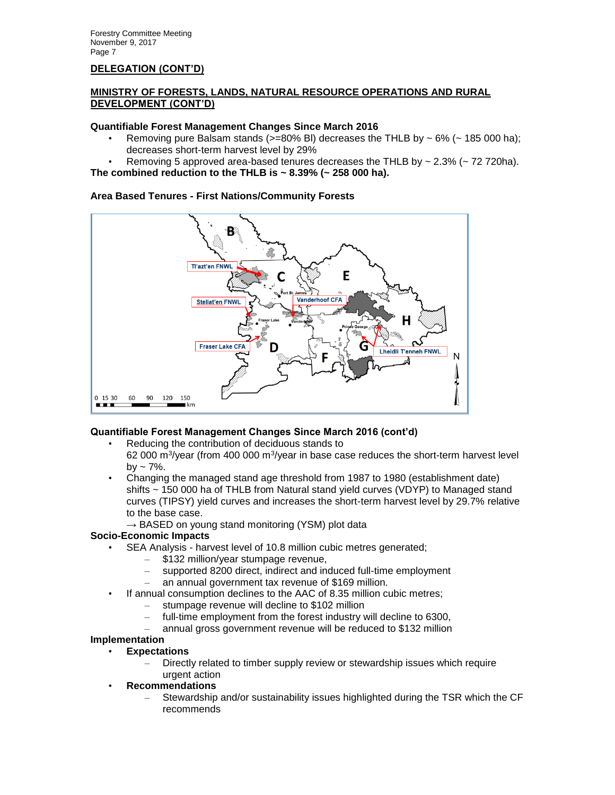# **MINISTRY OF FORESTS, LANDS, NATURAL RESOURCE OPERATIONS AND RURAL DEVELOPMENT (CONT'D)**

### **Quantifiable Forest Management Changes Since March 2016**

- Removing pure Balsam stands ( $> = 80\%$  BI) decreases the THLB by  $\sim 6\%$  ( $\sim 185000$  ha); decreases short-term harvest level by 29%
- Removing 5 approved area-based tenures decreases the THLB by  $\sim$  2.3% ( $\sim$  72 720ha).
- **The combined reduction to the THLB is ~ 8.39% (~ 258 000 ha).**

### **Area Based Tenures - First Nations/Community Forests**



# **Quantifiable Forest Management Changes Since March 2016 (cont'd)**

- Reducing the contribution of deciduous stands to
- 62 000 m $\frac{3}{1}$  (from 400 000 m $\frac{3}{1}$  aris in base case reduces the short-term harvest level  $by - 7\%$ .
- Changing the managed stand age threshold from 1987 to 1980 (establishment date) shifts ~ 150 000 ha of THLB from Natural stand yield curves (VDYP) to Managed stand curves (TIPSY) yield curves and increases the short-term harvest level by 29.7% relative to the base case.
	- **→** BASED on young stand monitoring (YSM) plot data

# **Socio-Economic Impacts**

- SEA Analysis harvest level of 10.8 million cubic metres generated;
	- \$132 million/year stumpage revenue,
	- supported 8200 direct, indirect and induced full-time employment
	- an annual government tax revenue of \$169 million.
	- If annual consumption declines to the AAC of 8.35 million cubic metres;
		- stumpage revenue will decline to \$102 million
		- full-time employment from the forest industry will decline to 6300,
		- annual gross government revenue will be reduced to \$132 million

#### **Implementation**

- **Expectations**
	- Directly related to timber supply review or stewardship issues which require urgent action
- **Recommendations**
	- Stewardship and/or sustainability issues highlighted during the TSR which the CF recommends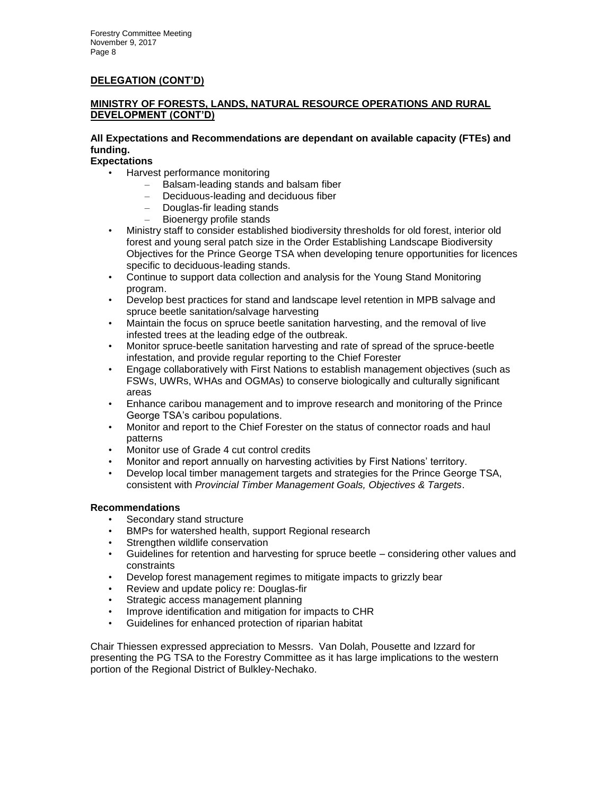# **MINISTRY OF FORESTS, LANDS, NATURAL RESOURCE OPERATIONS AND RURAL DEVELOPMENT (CONT'D)**

# **All Expectations and Recommendations are dependant on available capacity (FTEs) and funding.**

**Expectations**

- Harvest performance monitoring
	- Balsam-leading stands and balsam fiber
	- Deciduous-leading and deciduous fiber
	- Douglas-fir leading stands
	- Bioenergy profile stands
- Ministry staff to consider established biodiversity thresholds for old forest, interior old forest and young seral patch size in the Order Establishing Landscape Biodiversity Objectives for the Prince George TSA when developing tenure opportunities for licences specific to deciduous-leading stands.
- Continue to support data collection and analysis for the Young Stand Monitoring program.
- Develop best practices for stand and landscape level retention in MPB salvage and spruce beetle sanitation/salvage harvesting
- Maintain the focus on spruce beetle sanitation harvesting, and the removal of live infested trees at the leading edge of the outbreak.
- Monitor spruce-beetle sanitation harvesting and rate of spread of the spruce-beetle infestation, and provide regular reporting to the Chief Forester
- Engage collaboratively with First Nations to establish management objectives (such as FSWs, UWRs, WHAs and OGMAs) to conserve biologically and culturally significant areas
- Enhance caribou management and to improve research and monitoring of the Prince George TSA's caribou populations.
- Monitor and report to the Chief Forester on the status of connector roads and haul patterns
- Monitor use of Grade 4 cut control credits
- Monitor and report annually on harvesting activities by First Nations' territory.
- Develop local timber management targets and strategies for the Prince George TSA, consistent with *Provincial Timber Management Goals, Objectives & Targets*.

### **Recommendations**

- Secondary stand structure
- BMPs for watershed health, support Regional research
- Strengthen wildlife conservation
- Guidelines for retention and harvesting for spruce beetle considering other values and constraints
- Develop forest management regimes to mitigate impacts to grizzly bear<br>• Review and undate policy re: Douglas-fir
- Review and update policy re: Douglas-fir
- Strategic access management planning
- Improve identification and mitigation for impacts to CHR
- Guidelines for enhanced protection of riparian habitat

Chair Thiessen expressed appreciation to Messrs. Van Dolah, Pousette and Izzard for presenting the PG TSA to the Forestry Committee as it has large implications to the western portion of the Regional District of Bulkley-Nechako.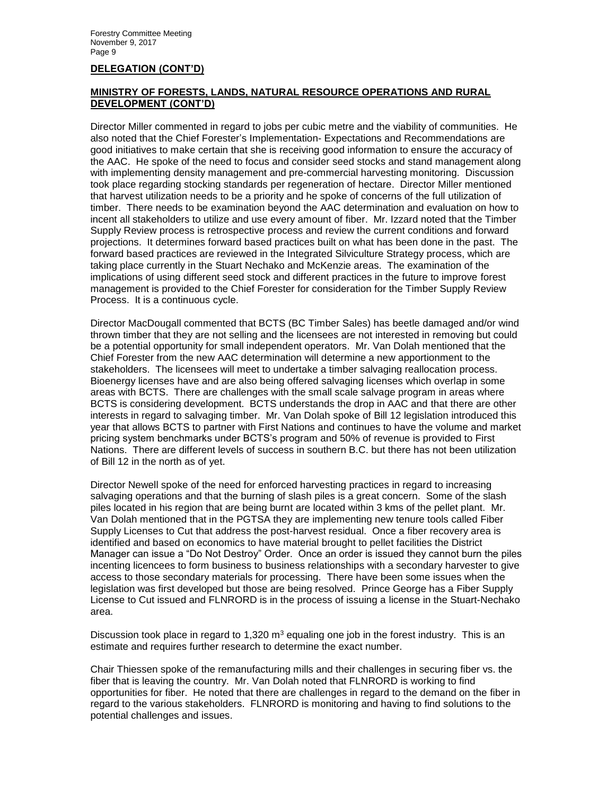# **MINISTRY OF FORESTS, LANDS, NATURAL RESOURCE OPERATIONS AND RURAL DEVELOPMENT (CONT'D)**

Director Miller commented in regard to jobs per cubic metre and the viability of communities. He also noted that the Chief Forester's Implementation- Expectations and Recommendations are good initiatives to make certain that she is receiving good information to ensure the accuracy of the AAC. He spoke of the need to focus and consider seed stocks and stand management along with implementing density management and pre-commercial harvesting monitoring. Discussion took place regarding stocking standards per regeneration of hectare. Director Miller mentioned that harvest utilization needs to be a priority and he spoke of concerns of the full utilization of timber. There needs to be examination beyond the AAC determination and evaluation on how to incent all stakeholders to utilize and use every amount of fiber. Mr. Izzard noted that the Timber Supply Review process is retrospective process and review the current conditions and forward projections. It determines forward based practices built on what has been done in the past. The forward based practices are reviewed in the Integrated Silviculture Strategy process, which are taking place currently in the Stuart Nechako and McKenzie areas. The examination of the implications of using different seed stock and different practices in the future to improve forest management is provided to the Chief Forester for consideration for the Timber Supply Review Process. It is a continuous cycle.

Director MacDougall commented that BCTS (BC Timber Sales) has beetle damaged and/or wind thrown timber that they are not selling and the licensees are not interested in removing but could be a potential opportunity for small independent operators. Mr. Van Dolah mentioned that the Chief Forester from the new AAC determination will determine a new apportionment to the stakeholders. The licensees will meet to undertake a timber salvaging reallocation process. Bioenergy licenses have and are also being offered salvaging licenses which overlap in some areas with BCTS. There are challenges with the small scale salvage program in areas where BCTS is considering development. BCTS understands the drop in AAC and that there are other interests in regard to salvaging timber. Mr. Van Dolah spoke of Bill 12 legislation introduced this year that allows BCTS to partner with First Nations and continues to have the volume and market pricing system benchmarks under BCTS's program and 50% of revenue is provided to First Nations. There are different levels of success in southern B.C. but there has not been utilization of Bill 12 in the north as of yet.

Director Newell spoke of the need for enforced harvesting practices in regard to increasing salvaging operations and that the burning of slash piles is a great concern. Some of the slash piles located in his region that are being burnt are located within 3 kms of the pellet plant. Mr. Van Dolah mentioned that in the PGTSA they are implementing new tenure tools called Fiber Supply Licenses to Cut that address the post-harvest residual. Once a fiber recovery area is identified and based on economics to have material brought to pellet facilities the District Manager can issue a "Do Not Destroy" Order. Once an order is issued they cannot burn the piles incenting licencees to form business to business relationships with a secondary harvester to give access to those secondary materials for processing. There have been some issues when the legislation was first developed but those are being resolved. Prince George has a Fiber Supply License to Cut issued and FLNRORD is in the process of issuing a license in the Stuart-Nechako area.

Discussion took place in regard to 1,320  $m<sup>3</sup>$  equaling one job in the forest industry. This is an estimate and requires further research to determine the exact number.

Chair Thiessen spoke of the remanufacturing mills and their challenges in securing fiber vs. the fiber that is leaving the country. Mr. Van Dolah noted that FLNRORD is working to find opportunities for fiber. He noted that there are challenges in regard to the demand on the fiber in regard to the various stakeholders. FLNRORD is monitoring and having to find solutions to the potential challenges and issues.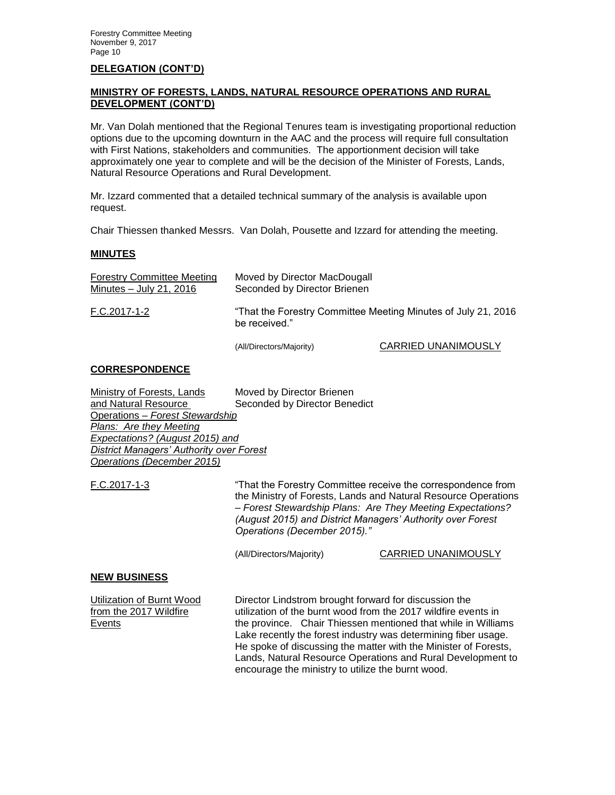# **MINISTRY OF FORESTS, LANDS, NATURAL RESOURCE OPERATIONS AND RURAL DEVELOPMENT (CONT'D)**

Mr. Van Dolah mentioned that the Regional Tenures team is investigating proportional reduction options due to the upcoming downturn in the AAC and the process will require full consultation with First Nations, stakeholders and communities. The apportionment decision will take approximately one year to complete and will be the decision of the Minister of Forests, Lands, Natural Resource Operations and Rural Development.

Mr. Izzard commented that a detailed technical summary of the analysis is available upon request.

Chair Thiessen thanked Messrs. Van Dolah, Pousette and Izzard for attending the meeting.

#### **MINUTES**

| <b>Forestry Committee Meeting</b><br>Minutes $-$ July 21, 2016 | Moved by Director MacDougall<br>Seconded by Director Brienen                   |                            |  |
|----------------------------------------------------------------|--------------------------------------------------------------------------------|----------------------------|--|
| F.C.2017-1-2                                                   | "That the Forestry Committee Meeting Minutes of July 21, 2016<br>be received." |                            |  |
|                                                                | (All/Directors/Majority)                                                       | <b>CARRIED UNANIMOUSLY</b> |  |

#### **CORRESPONDENCE**

| <b>Ministry of Forests, Lands</b>        | Moved by Director Brienen     |  |  |  |  |
|------------------------------------------|-------------------------------|--|--|--|--|
| and Natural Resource                     | Seconded by Director Benedict |  |  |  |  |
| Operations - Forest Stewardship          |                               |  |  |  |  |
| Plans: Are they Meeting                  |                               |  |  |  |  |
| Expectations? (August 2015) and          |                               |  |  |  |  |
| District Managers' Authority over Forest |                               |  |  |  |  |
| Operations (December 2015)               |                               |  |  |  |  |

F.C.2017-1-3 "That the Forestry Committee receive the correspondence from the Ministry of Forests, Lands and Natural Resource Operations – *Forest Stewardship Plans: Are They Meeting Expectations? (August 2015) and District Managers' Authority over Forest Operations (December 2015)."*

(All/Directors/Majority) CARRIED UNANIMOUSLY

#### **NEW BUSINESS**

Utilization of Burnt Wood Director Lindstrom brought forward for discussion the from the 2017 Wildfire utilization of the burnt wood from the 2017 wildfire events in Events the province. Chair Thiessen mentioned that while in Williams Lake recently the forest industry was determining fiber usage. He spoke of discussing the matter with the Minister of Forests, Lands, Natural Resource Operations and Rural Development to encourage the ministry to utilize the burnt wood.